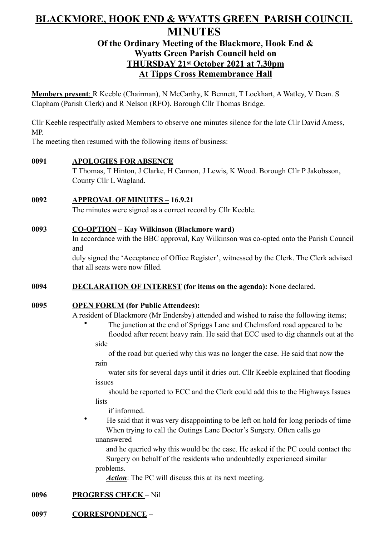# **BLACKMORE, HOOK END & WYATTS GREEN PARISH COUNCIL MINUTES**

# **Of the Ordinary Meeting of the Blackmore, Hook End & Wyatts Green Parish Council held on THURSDAY 21st October 2021 at 7.30pm At Tipps Cross Remembrance Hall**

**Members present**: R Keeble (Chairman), N McCarthy, K Bennett, T Lockhart, A Watley, V Dean. S Clapham (Parish Clerk) and R Nelson (RFO). Borough Cllr Thomas Bridge.

Cllr Keeble respectfully asked Members to observe one minutes silence for the late Cllr David Amess, MP.

The meeting then resumed with the following items of business:

# **0091 APOLOGIES FOR ABSENCE**

T Thomas, T Hinton, J Clarke, H Cannon, J Lewis, K Wood. Borough Cllr P Jakobsson, County Cllr L Wagland.

# **0092 APPROVAL OF MINUTES – 16.9.21**

The minutes were signed as a correct record by Cllr Keeble.

# **0093 CO-OPTION – Kay Wilkinson (Blackmore ward)**

In accordance with the BBC approval, Kay Wilkinson was co-opted onto the Parish Council and

duly signed the 'Acceptance of Office Register', witnessed by the Clerk. The Clerk advised that all seats were now filled.

# **0094 DECLARATION OF INTEREST (for items on the agenda):** None declared.

### **0095 OPEN FORUM (for Public Attendees):**

A resident of Blackmore (Mr Endersby) attended and wished to raise the following items;

- The junction at the end of Spriggs Lane and Chelmsford road appeared to be
- flooded after recent heavy rain. He said that ECC used to dig channels out at the side

of the road but queried why this was no longer the case. He said that now the rain

water sits for several days until it dries out. Cllr Keeble explained that flooding issues

should be reported to ECC and the Clerk could add this to the Highways Issues **lists** 

if informed.

• He said that it was very disappointing to be left on hold for long periods of time When trying to call the Outings Lane Doctor's Surgery. Often calls go unanswered

 and he queried why this would be the case. He asked if the PC could contact the Surgery on behalf of the residents who undoubtedly experienced similar problems.

*Action*: The PC will discuss this at its next meeting.

# **0096 PROGRESS CHECK** – Nil

# **0097 CORRESPONDENCE –**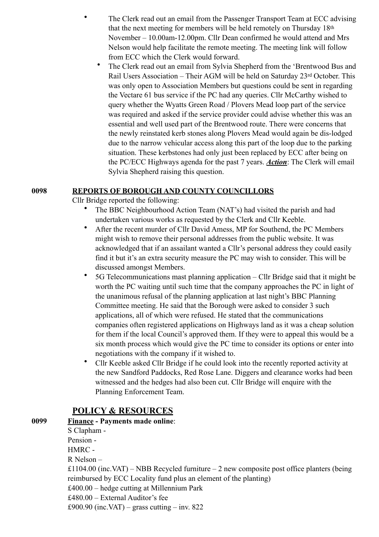- The Clerk read out an email from the Passenger Transport Team at ECC advising that the next meeting for members will be held remotely on Thursday 18th November – 10.00am-12.00pm. Cllr Dean confirmed he would attend and Mrs Nelson would help facilitate the remote meeting. The meeting link will follow from ECC which the Clerk would forward.
- The Clerk read out an email from Sylvia Shepherd from the 'Brentwood Bus and Rail Users Association – Their AGM will be held on Saturday 23rd October. This was only open to Association Members but questions could be sent in regarding the Vectare 61 bus service if the PC had any queries. Cllr McCarthy wished to query whether the Wyatts Green Road / Plovers Mead loop part of the service was required and asked if the service provider could advise whether this was an essential and well used part of the Brentwood route. There were concerns that the newly reinstated kerb stones along Plovers Mead would again be dis-lodged due to the narrow vehicular access along this part of the loop due to the parking situation. These kerbstones had only just been replaced by ECC after being on the PC/ECC Highways agenda for the past 7 years. *Action*: The Clerk will email Sylvia Shepherd raising this question.

### **0098 REPORTS OF BOROUGH AND COUNTY COUNCILLORS**

Cllr Bridge reported the following:

- The BBC Neighbourhood Action Team (NAT's) had visited the parish and had undertaken various works as requested by the Clerk and Cllr Keeble.
- After the recent murder of Cllr David Amess, MP for Southend, the PC Members might wish to remove their personal addresses from the public website. It was acknowledged that if an assailant wanted a Cllr's personal address they could easily find it but it's an extra security measure the PC may wish to consider. This will be discussed amongst Members.
- 5G Telecommunications mast planning application Cllr Bridge said that it might be worth the PC waiting until such time that the company approaches the PC in light of the unanimous refusal of the planning application at last night's BBC Planning Committee meeting. He said that the Borough were asked to consider 3 such applications, all of which were refused. He stated that the communications companies often registered applications on Highways land as it was a cheap solution for them if the local Council's approved them. If they were to appeal this would be a six month process which would give the PC time to consider its options or enter into negotiations with the company if it wished to.
- Cllr Keeble asked Cllr Bridge if he could look into the recently reported activity at the new Sandford Paddocks, Red Rose Lane. Diggers and clearance works had been witnessed and the hedges had also been cut. Cllr Bridge will enquire with the Planning Enforcement Team.

# **POLICY & RESOURCES**

| 0099 | <b>Finance - Payments made online:</b>                                                    |
|------|-------------------------------------------------------------------------------------------|
|      | S Clapham -                                                                               |
|      | Pension -                                                                                 |
|      | HMRC -                                                                                    |
|      | $R$ Nelson –                                                                              |
|      | £1104.00 (inc.VAT) – NBB Recycled furniture – 2 new composite post office planters (being |
|      | reimbursed by ECC Locality fund plus an element of the planting)                          |
|      | $£400.00 - hedge$ cutting at Millennium Park                                              |
|      | £480.00 – External Auditor's fee                                                          |
|      | £900.90 (inc.VAT) – grass cutting – inv. 822                                              |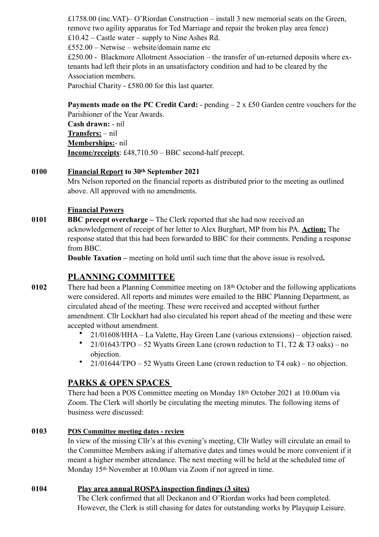£1758.00 (inc.VAT)– O'Riordan Construction – install 3 new memorial seats on the Green, remove two agility apparatus for Ted Marriage and repair the broken play area fence) £10.42 – Castle water – supply to Nine Ashes Rd.

£552.00 – Netwise – website/domain name etc

 $£250.00 - Blackmore Allotment Association - the transfer of un-returned deposits where ex$ tenants had left their plots in an unsatisfactory condition and had to be cleared by the Association members.

Parochial Charity - £580.00 for this last quarter.

**Payments made on the PC Credit Card:** - pending – 2 x £50 Garden centre vouchers for the Parishioner of the Year Awards. **Cash drawn:** - nil **Transfers:** – nil **Memberships:**- nil **Income/receipts**: £48,710.50 – BBC second-half precept.

# **0100 Financial Report to 30th September 2021**

Mrs Nelson reported on the financial reports as distributed prior to the meeting as outlined above. All approved with no amendments.

### **Financial Powers**

**0101 BBC precept overcharge –** The Clerk reported that she had now received an acknowledgement of receipt of her letter to Alex Burghart, MP from his PA. **Action:** The response stated that this had been forwarded to BBC for their comments. Pending a response from BBC.

**Double Taxation –** meeting on hold until such time that the above issue is resolved.

# **PLANNING COMMITTEE**

- **0102** There had been a Planning Committee meeting on 18th October and the following applications were considered. All reports and minutes were emailed to the BBC Planning Department, as circulated ahead of the meeting. These were received and accepted without further amendment. Cllr Lockhart had also circulated his report ahead of the meeting and these were accepted without amendment.
	- 21/01608/HHA La Valette, Hay Green Lane (various extensions) objection raised.
	- 21/01643/TPO 52 Wyatts Green Lane (crown reduction to T1, T2  $&$  T3 oaks) no objection.
	- $21/01644/TPO 52$  Wyatts Green Lane (crown reduction to T4 oak) no objection.

# **PARKS & OPEN SPACES**

There had been a POS Committee meeting on Monday 18th October 2021 at 10.00am via Zoom. The Clerk will shortly be circulating the meeting minutes. The following items of business were discussed:

### **0103 POS Committee meeting dates - review**

In view of the missing Cllr's at this evening's meeting, Cllr Watley will circulate an email to the Committee Members asking if alternative dates and times would be more convenient if it meant a higher member attendance. The next meeting will be held at the scheduled time of Monday 15<sup>th</sup> November at 10.00am via Zoom if not agreed in time.

### **0104 Play area annual ROSPA inspection findings (3 sites)**

The Clerk confirmed that all Deckanon and O'Riordan works had been completed. However, the Clerk is still chasing for dates for outstanding works by Playquip Leisure.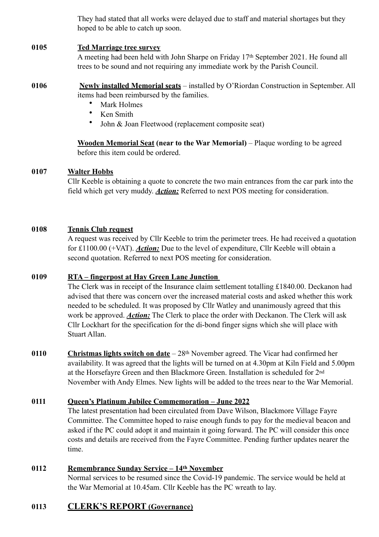They had stated that all works were delayed due to staff and material shortages but they hoped to be able to catch up soon.

### **0105 Ted Marriage tree survey**

A meeting had been held with John Sharpe on Friday 17th September 2021. He found all trees to be sound and not requiring any immediate work by the Parish Council.

- **0106 Newly installed Memorial seats** installed by O'Riordan Construction in September. All items had been reimbursed by the families.
	- Mark Holmes
	- Ken Smith
	- John & Joan Fleetwood (replacement composite seat)

**Wooden Memorial Seat (near to the War Memorial)** – Plaque wording to be agreed before this item could be ordered.

### **0107 Walter Hobbs**

Cllr Keeble is obtaining a quote to concrete the two main entrances from the car park into the field which get very muddy. *Action:* Referred to next POS meeting for consideration.

### **0108 Tennis Club request**

A request was received by Cllr Keeble to trim the perimeter trees. He had received a quotation for £1100.00 (+VAT). *Action:* Due to the level of expenditure, Cllr Keeble will obtain a second quotation. Referred to next POS meeting for consideration.

### **0109 RTA – fingerpost at Hay Green Lane Junction**

The Clerk was in receipt of the Insurance claim settlement totalling £1840.00. Deckanon had advised that there was concern over the increased material costs and asked whether this work needed to be scheduled. It was proposed by Cllr Watley and unanimously agreed that this work be approved. *Action:* The Clerk to place the order with Deckanon. The Clerk will ask Cllr Lockhart for the specification for the di-bond finger signs which she will place with Stuart Allan.

**0110 Christmas lights switch on date** – 28th November agreed. The Vicar had confirmed her availability. It was agreed that the lights will be turned on at 4.30pm at Kiln Field and 5.00pm at the Horsefayre Green and then Blackmore Green. Installation is scheduled for 2nd November with Andy Elmes. New lights will be added to the trees near to the War Memorial.

# **0111 Queen's Platinum Jubilee Commemoration – June 2022**

The latest presentation had been circulated from Dave Wilson, Blackmore Village Fayre Committee. The Committee hoped to raise enough funds to pay for the medieval beacon and asked if the PC could adopt it and maintain it going forward. The PC will consider this once costs and details are received from the Fayre Committee. Pending further updates nearer the time.

# **0112 Remembrance Sunday Service – 14th November**

Normal services to be resumed since the Covid-19 pandemic. The service would be held at the War Memorial at 10.45am. Cllr Keeble has the PC wreath to lay.

# **0113 CLERK'S REPORT (Governance)**